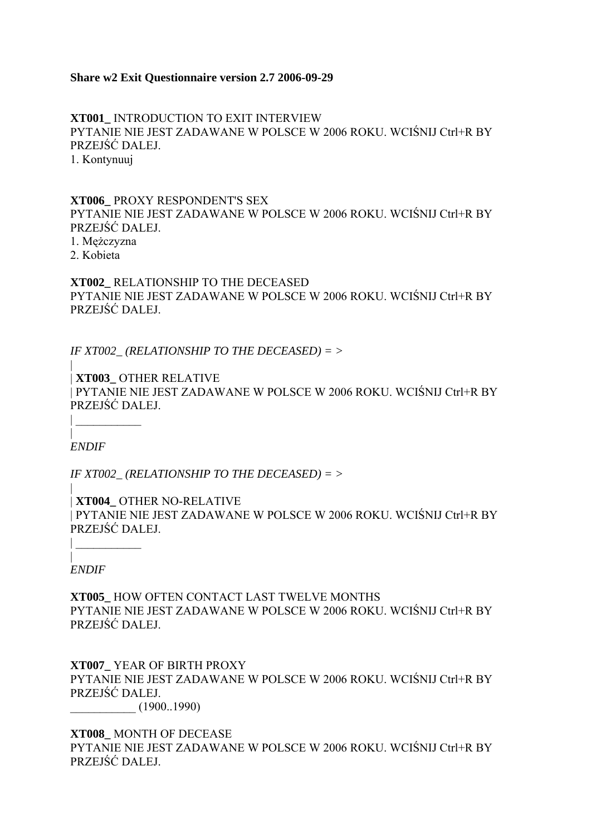# **Share w2 Exit Questionnaire version 2.7 2006-09-29**

**XT001\_** INTRODUCTION TO EXIT INTERVIEW PYTANIE NIE JEST ZADAWANE W POLSCE W 2006 ROKU. WCIŚNIJ Ctrl+R BY PRZEJŚĆ DALEJ. 1. Kontynuuj

**XT006\_** PROXY RESPONDENT'S SEX PYTANIE NIE JEST ZADAWANE W POLSCE W 2006 ROKU. WCIŚNIJ Ctrl+R BY PRZEJŚĆ DALEJ.

1. Mężczyzna

2. Kobieta

**XT002\_** RELATIONSHIP TO THE DECEASED PYTANIE NIE JEST ZADAWANE W POLSCE W 2006 ROKU. WCIŚNIJ Ctrl+R BY PRZEJŚĆ DALEJ.

*IF XT002\_ (RELATIONSHIP TO THE DECEASED) = >*

| | **XT003\_** OTHER RELATIVE | PYTANIE NIE JEST ZADAWANE W POLSCE W 2006 ROKU. WCIŚNIJ Ctrl+R BY PRZEJŚĆ DALEJ.

| *ENDIF*

| \_\_\_\_\_\_\_\_\_\_\_

*IF XT002\_ (RELATIONSHIP TO THE DECEASED) = >*

| | **XT004\_** OTHER NO-RELATIVE | PYTANIE NIE JEST ZADAWANE W POLSCE W 2006 ROKU. WCIŚNIJ Ctrl+R BY PRZEJŚĆ DALEJ.

| *ENDIF*

| \_\_\_\_\_\_\_\_\_\_\_

**XT005\_** HOW OFTEN CONTACT LAST TWELVE MONTHS PYTANIE NIE JEST ZADAWANE W POLSCE W 2006 ROKU. WCIŚNIJ Ctrl+R BY PRZEJŚĆ DALEJ.

**XT007\_** YEAR OF BIRTH PROXY PYTANIE NIE JEST ZADAWANE W POLSCE W 2006 ROKU. WCIŚNIJ Ctrl+R BY PRZEJŚĆ DALEJ. \_\_\_\_\_\_\_\_\_\_\_ (1900..1990)

**XT008\_** MONTH OF DECEASE PYTANIE NIE JEST ZADAWANE W POLSCE W 2006 ROKU. WCIŚNIJ Ctrl+R BY PRZEJŚĆ DALEJ.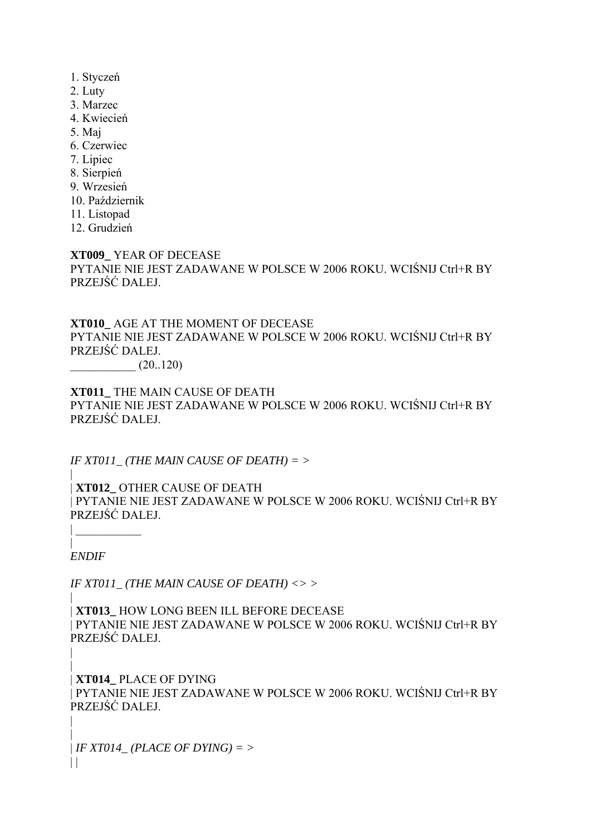- 1. Styczeń
- 2. Luty
- 3. Marzec
- 4. Kwiecień
- 5. Maj
- 6. Czerwiec
- 7. Lipiec
- 8. Sierpień
- 9. Wrzesień
- 10. Październik
- 11. Listopad
- 12. Grudzień

**XT009\_** YEAR OF DECEASE PYTANIE NIE JEST ZADAWANE W POLSCE W 2006 ROKU. WCIŚNIJ Ctrl+R BY PRZEJŚĆ DALEJ.

**XT010\_** AGE AT THE MOMENT OF DECEASE PYTANIE NIE JEST ZADAWANE W POLSCE W 2006 ROKU. WCIŚNIJ Ctrl+R BY PRZEJŚĆ DALEJ.

 $(20..120)$ 

**XT011\_** THE MAIN CAUSE OF DEATH PYTANIE NIE JEST ZADAWANE W POLSCE W 2006 ROKU. WCIŚNIJ Ctrl+R BY PRZEJŚĆ DALEJ.

*IF XT011\_ (THE MAIN CAUSE OF DEATH) = >*

| | **XT012\_** OTHER CAUSE OF DEATH | PYTANIE NIE JEST ZADAWANE W POLSCE W 2006 ROKU. WCIŚNIJ Ctrl+R BY PRZEJŚĆ DALEJ.

| *ENDIF*

|

|

| \_\_\_\_\_\_\_\_\_\_\_

*IF XT011\_ (THE MAIN CAUSE OF DEATH) <> >*

| | **XT013\_** HOW LONG BEEN ILL BEFORE DECEASE | PYTANIE NIE JEST ZADAWANE W POLSCE W 2006 ROKU. WCIŚNIJ Ctrl+R BY PRZEJŚĆ DALEJ.

| | **XT014\_** PLACE OF DYING | PYTANIE NIE JEST ZADAWANE W POLSCE W 2006 ROKU. WCIŚNIJ Ctrl+R BY PRZEJŚĆ DALEJ.

| | *IF XT014\_ (PLACE OF DYING) = >*  $\|$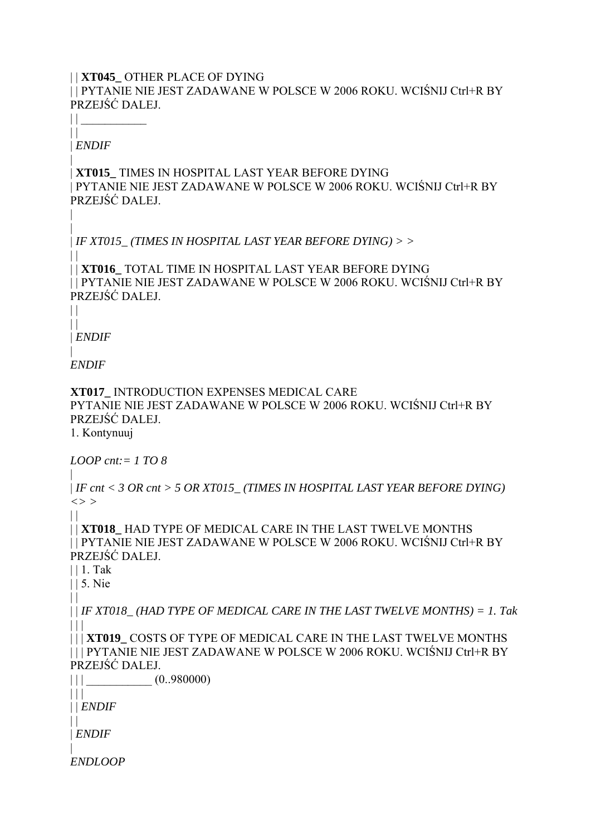# | | **XT045\_** OTHER PLACE OF DYING

| | PYTANIE NIE JEST ZADAWANE W POLSCE W 2006 ROKU. WCIŚNIJ Ctrl+R BY PRZEJŚĆ DALEJ.

 $||$  $\mathbf{||}$ 

| *ENDIF* |

|

 $\|$ 

 $\Box$ 

| **XT015\_** TIMES IN HOSPITAL LAST YEAR BEFORE DYING | PYTANIE NIE JEST ZADAWANE W POLSCE W 2006 ROKU. WCIŚNIJ Ctrl+R BY PRZEJŚĆ DALEJ.

| | *IF XT015\_ (TIMES IN HOSPITAL LAST YEAR BEFORE DYING) > >*

| | **XT016\_** TOTAL TIME IN HOSPITAL LAST YEAR BEFORE DYING | | PYTANIE NIE JEST ZADAWANE W POLSCE W 2006 ROKU. WCIŚNIJ Ctrl+R BY PRZEJŚĆ DALEJ.

 $\vert \vert$ 

| *ENDIF* |

*ENDIF*

**XT017\_** INTRODUCTION EXPENSES MEDICAL CARE PYTANIE NIE JEST ZADAWANE W POLSCE W 2006 ROKU. WCIŚNIJ Ctrl+R BY PRZEJŚĆ DALEJ.

1. Kontynuuj

*LOOP cnt:= 1 TO 8*

| | *IF cnt < 3 OR cnt > 5 OR XT015\_ (TIMES IN HOSPITAL LAST YEAR BEFORE DYING) <> >*

| | **XT018\_** HAD TYPE OF MEDICAL CARE IN THE LAST TWELVE MONTHS | | PYTANIE NIE JEST ZADAWANE W POLSCE W 2006 ROKU. WCIŚNIJ Ctrl+R BY PRZEJŚĆ DALEJ.

| | 1. Tak

| | 5. Nie

 $\|$ 

 $\Box$ 

| | *IF XT018\_ (HAD TYPE OF MEDICAL CARE IN THE LAST TWELVE MONTHS) = 1. Tak*  $\Box$ 

| | | **XT019\_** COSTS OF TYPE OF MEDICAL CARE IN THE LAST TWELVE MONTHS | | | PYTANIE NIE JEST ZADAWANE W POLSCE W 2006 ROKU. WCIŚNIJ Ctrl+R BY PRZEJŚĆ DALEJ.

 $|| \t(0.980000)$ 

| | | | | *ENDIF*

 $\Box$ 

| *ENDIF*

| *ENDLOOP*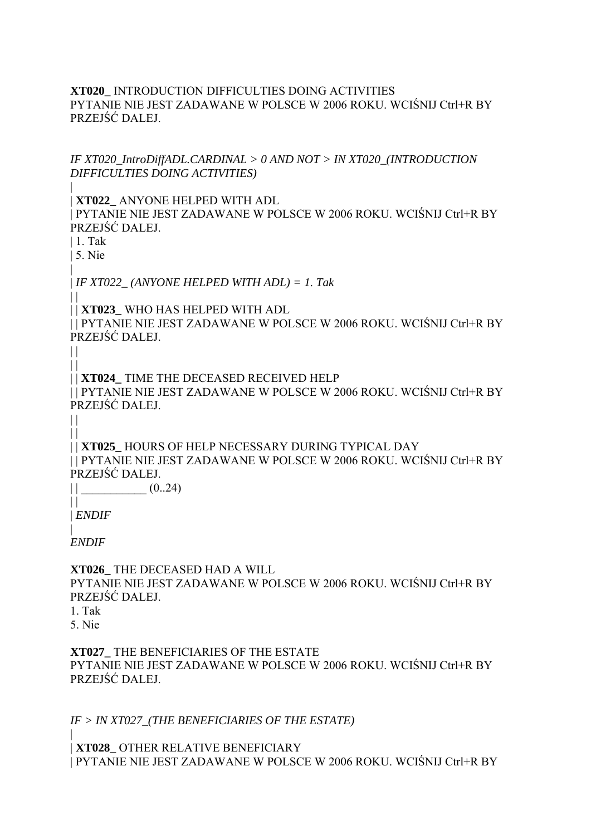## **XT020\_** INTRODUCTION DIFFICULTIES DOING ACTIVITIES PYTANIE NIE JEST ZADAWANE W POLSCE W 2006 ROKU. WCIŚNIJ Ctrl+R BY PRZEJŚĆ DALEJ.

*IF XT020\_IntroDiffADL.CARDINAL > 0 AND NOT > IN XT020\_(INTRODUCTION DIFFICULTIES DOING ACTIVITIES)*

| **XT022\_** ANYONE HELPED WITH ADL

| PYTANIE NIE JEST ZADAWANE W POLSCE W 2006 ROKU. WCIŚNIJ Ctrl+R BY PRZEJŚĆ DALEJ.

| 1. Tak

|

| 5. Nie |

 $\|$ 

 $\Box$ 

| *IF XT022\_ (ANYONE HELPED WITH ADL) = 1. Tak*

| | **XT023\_** WHO HAS HELPED WITH ADL

| | PYTANIE NIE JEST ZADAWANE W POLSCE W 2006 ROKU. WCIŚNIJ Ctrl+R BY PRZEJŚĆ DALEJ.

 $\Box$ | | **XT024\_** TIME THE DECEASED RECEIVED HELP | | PYTANIE NIE JEST ZADAWANE W POLSCE W 2006 ROKU. WCIŚNIJ Ctrl+R BY PRZEJŚĆ DALEJ.

 $\Box$  $\|$ 

| | **XT025\_** HOURS OF HELP NECESSARY DURING TYPICAL DAY | | PYTANIE NIE JEST ZADAWANE W POLSCE W 2006 ROKU. WCIŚNIJ Ctrl+R BY PRZEJŚĆ DALEJ.

 $||$   $(0..24)$ 

 $\prod$ | *ENDIF*

| *ENDIF*

**XT026\_** THE DECEASED HAD A WILL PYTANIE NIE JEST ZADAWANE W POLSCE W 2006 ROKU. WCIŚNIJ Ctrl+R BY PRZEJŚĆ DALEJ.

1. Tak 5. Nie

**XT027\_** THE BENEFICIARIES OF THE ESTATE PYTANIE NIE JEST ZADAWANE W POLSCE W 2006 ROKU. WCIŚNIJ Ctrl+R BY PRZEJŚĆ DALEJ.

*IF > IN XT027\_(THE BENEFICIARIES OF THE ESTATE)*

| | **XT028\_** OTHER RELATIVE BENEFICIARY | PYTANIE NIE JEST ZADAWANE W POLSCE W 2006 ROKU. WCIŚNIJ Ctrl+R BY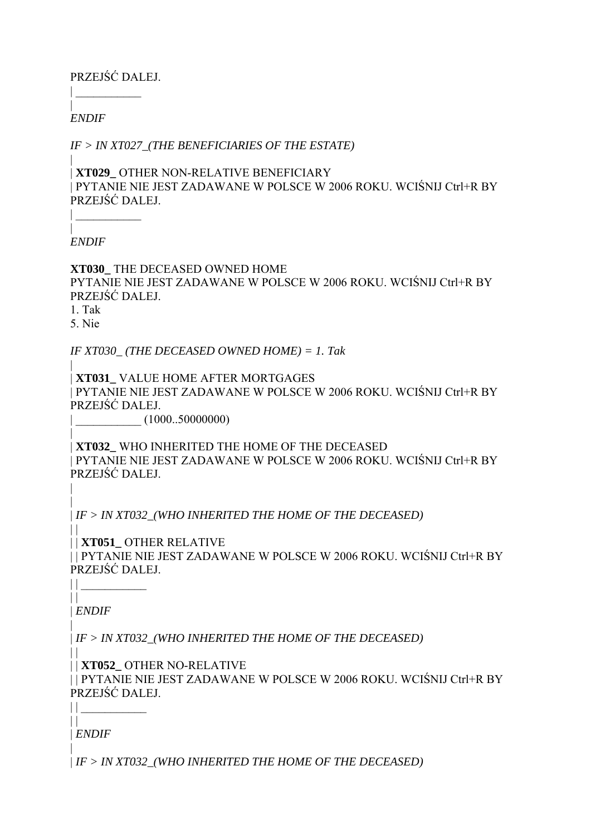PRZEJŚĆ DALEJ.

| \_\_\_\_\_\_\_\_\_\_\_

| *ENDIF*

*IF > IN XT027\_(THE BENEFICIARIES OF THE ESTATE)*

| | **XT029\_** OTHER NON-RELATIVE BENEFICIARY | PYTANIE NIE JEST ZADAWANE W POLSCE W 2006 ROKU. WCIŚNIJ Ctrl+R BY PRZEJŚĆ DALEJ.

| *ENDIF*

| \_\_\_\_\_\_\_\_\_\_\_

**XT030\_** THE DECEASED OWNED HOME PYTANIE NIE JEST ZADAWANE W POLSCE W 2006 ROKU. WCIŚNIJ Ctrl+R BY PRZEJŚĆ DALEJ.

1. Tak

5. Nie

*IF XT030\_ (THE DECEASED OWNED HOME) = 1. Tak*

| | **XT031\_** VALUE HOME AFTER MORTGAGES | PYTANIE NIE JEST ZADAWANE W POLSCE W 2006 ROKU. WCIŚNIJ Ctrl+R BY PRZEJŚĆ DALEJ.

 $(1000..50000000)$ 

| | **XT032\_** WHO INHERITED THE HOME OF THE DECEASED | PYTANIE NIE JEST ZADAWANE W POLSCE W 2006 ROKU. WCIŚNIJ Ctrl+R BY PRZEJŚĆ DALEJ.

| | *IF > IN XT032\_(WHO INHERITED THE HOME OF THE DECEASED)*

 $\|$ | | **XT051\_** OTHER RELATIVE | | PYTANIE NIE JEST ZADAWANE W POLSCE W 2006 ROKU. WCIŚNIJ Ctrl+R BY PRZEJŚĆ DALEJ.

 $\mathbf{||}$ | *ENDIF*

 $||$ 

 $\Box$ 

 $\prod$ 

|

| | *IF > IN XT032\_(WHO INHERITED THE HOME OF THE DECEASED)*

| | **XT052\_** OTHER NO-RELATIVE

| | PYTANIE NIE JEST ZADAWANE W POLSCE W 2006 ROKU. WCIŚNIJ Ctrl+R BY PRZEJŚĆ DALEJ.

 $||$ | *ENDIF*

| | *IF > IN XT032\_(WHO INHERITED THE HOME OF THE DECEASED)*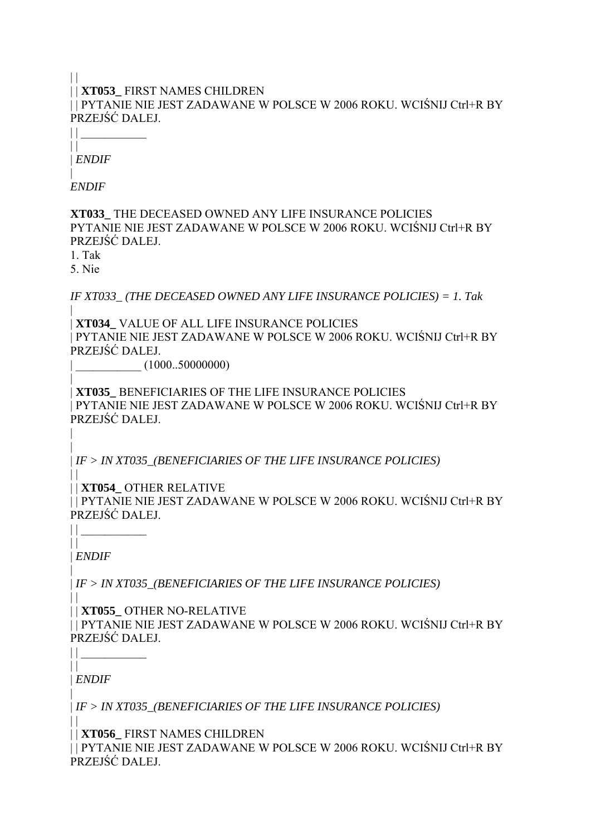## $\| \cdot \|$ | | **XT053\_** FIRST NAMES CHILDREN | | PYTANIE NIE JEST ZADAWANE W POLSCE W 2006 ROKU. WCIŚNIJ Ctrl+R BY PRZEJŚĆ DALEJ.

 $\perp$  $\|$ | *ENDIF*

| *ENDIF*

**XT033\_** THE DECEASED OWNED ANY LIFE INSURANCE POLICIES PYTANIE NIE JEST ZADAWANE W POLSCE W 2006 ROKU. WCIŚNIJ Ctrl+R BY PRZEJŚĆ DALEJ.

1. Tak

5. Nie

*IF XT033\_ (THE DECEASED OWNED ANY LIFE INSURANCE POLICIES) = 1. Tak*

| | **XT034\_** VALUE OF ALL LIFE INSURANCE POLICIES | PYTANIE NIE JEST ZADAWANE W POLSCE W 2006 ROKU. WCIŚNIJ Ctrl+R BY PRZEJŚĆ DALEJ.

 $(1000..50000000)$ 

| | **XT035\_** BENEFICIARIES OF THE LIFE INSURANCE POLICIES | PYTANIE NIE JEST ZADAWANE W POLSCE W 2006 ROKU. WCIŚNIJ Ctrl+R BY PRZEJŚĆ DALEJ.

| | *IF > IN XT035\_(BENEFICIARIES OF THE LIFE INSURANCE POLICIES)*

 $\Box$ | | **XT054\_** OTHER RELATIVE

| | PYTANIE NIE JEST ZADAWANE W POLSCE W 2006 ROKU. WCIŚNIJ Ctrl+R BY PRZEJŚĆ DALEJ.

 $\Box$ | *ENDIF*

|

 $\prod$ 

| | *IF > IN XT035\_(BENEFICIARIES OF THE LIFE INSURANCE POLICIES)*

 $\mathbf{||}$ | | **XT055\_** OTHER NO-RELATIVE

| | PYTANIE NIE JEST ZADAWANE W POLSCE W 2006 ROKU. WCIŚNIJ Ctrl+R BY PRZEJŚĆ DALEJ.

 $\|$ | *ENDIF*

 $||$ 

|

 $\Box$ 

| *IF > IN XT035\_(BENEFICIARIES OF THE LIFE INSURANCE POLICIES)*

| | **XT056\_** FIRST NAMES CHILDREN

| | PYTANIE NIE JEST ZADAWANE W POLSCE W 2006 ROKU. WCIŚNIJ Ctrl+R BY PRZEJŚĆ DALEJ.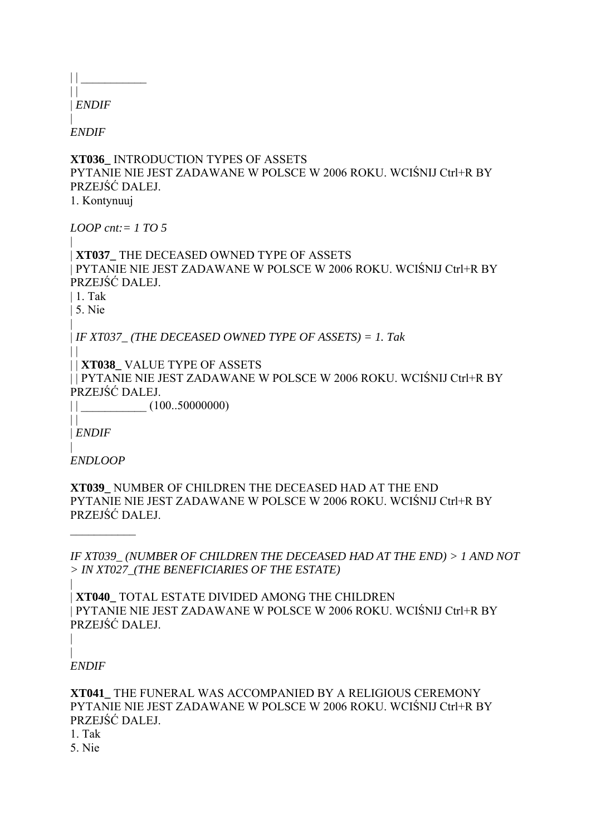$||$  $\Box$ | *ENDIF*

| *ENDIF*

**XT036\_** INTRODUCTION TYPES OF ASSETS PYTANIE NIE JEST ZADAWANE W POLSCE W 2006 ROKU. WCIŚNIJ Ctrl+R BY PRZEJŚĆ DALEJ.

1. Kontynuuj

*LOOP cnt:= 1 TO 5*

| | **XT037\_** THE DECEASED OWNED TYPE OF ASSETS | PYTANIE NIE JEST ZADAWANE W POLSCE W 2006 ROKU. WCIŚNIJ Ctrl+R BY PRZEJŚĆ DALEJ.

| 1. Tak

| 5. Nie |

 $||$ 

 $\| \cdot \|$ 

| *IF XT037\_ (THE DECEASED OWNED TYPE OF ASSETS) = 1. Tak*

| | **XT038\_** VALUE TYPE OF ASSETS

| | PYTANIE NIE JEST ZADAWANE W POLSCE W 2006 ROKU. WCIŚNIJ Ctrl+R BY PRZEJŚĆ DALEJ.

 $||$   $\frac{1}{2}$  (100..50000000)

| *ENDIF*

| *ENDLOOP*

 $\frac{1}{2}$ 

**XT039\_** NUMBER OF CHILDREN THE DECEASED HAD AT THE END PYTANIE NIE JEST ZADAWANE W POLSCE W 2006 ROKU. WCIŚNIJ Ctrl+R BY PRZEJŚĆ DALEJ.

*IF XT039\_ (NUMBER OF CHILDREN THE DECEASED HAD AT THE END) > 1 AND NOT > IN XT027\_(THE BENEFICIARIES OF THE ESTATE)*

| | **XT040\_** TOTAL ESTATE DIVIDED AMONG THE CHILDREN | PYTANIE NIE JEST ZADAWANE W POLSCE W 2006 ROKU. WCIŚNIJ Ctrl+R BY PRZEJŚĆ DALEJ.

| *ENDIF*

|

**XT041\_** THE FUNERAL WAS ACCOMPANIED BY A RELIGIOUS CEREMONY PYTANIE NIE JEST ZADAWANE W POLSCE W 2006 ROKU. WCIŚNIJ Ctrl+R BY PRZEJŚĆ DALEJ.

1. Tak

5. Nie